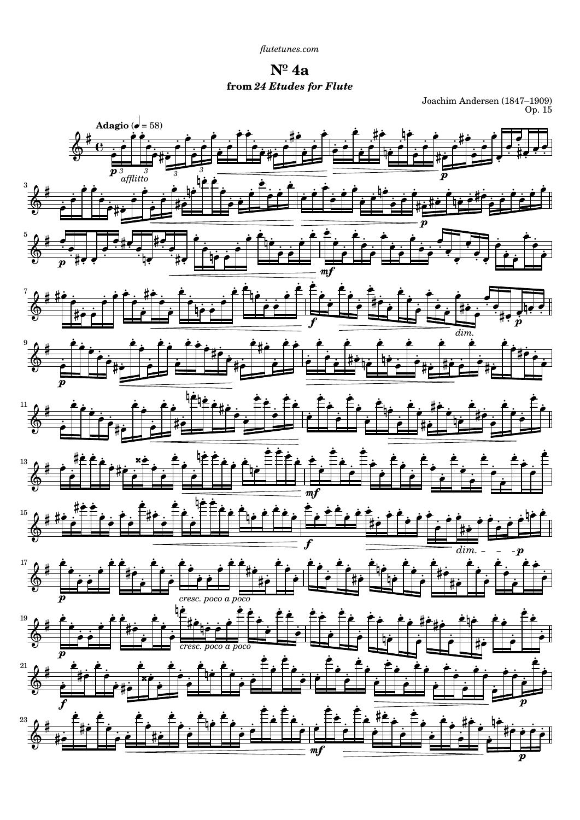**Nº 4a from** *24 Etudes for Flute*

Joachim Andersen (1847–1909) Op. 15